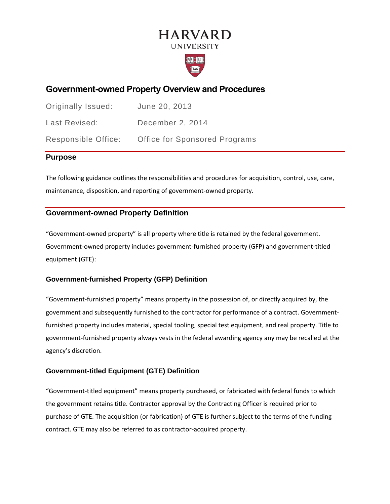# **HARVARD UNIVERSITY**



## **Government-owned Property Overview and Procedures**

| Originally Issued:  | June 20, 2013                        |
|---------------------|--------------------------------------|
| Last Revised:       | December 2, 2014                     |
| Responsible Office: | <b>Office for Sponsored Programs</b> |

### **Purpose**

The following guidance outlines the responsibilities and procedures for acquisition, control, use, care, maintenance, disposition, and reporting of government-owned property.

## **Government-owned Property Definition**

"Government-owned property" is all property where title is retained by the federal government. Government-owned property includes government-furnished property (GFP) and government-titled equipment (GTE):

### **Government-furnished Property (GFP) Definition**

"Government-furnished property" means property in the possession of, or directly acquired by, the government and subsequently furnished to the contractor for performance of a contract. Governmentfurnished property includes material, special tooling, special test equipment, and real property. Title to government-furnished property always vests in the federal awarding agency any may be recalled at the agency's discretion.

### **Government-titled Equipment (GTE) Definition**

"Government-titled equipment" means property purchased, or fabricated with federal funds to which the government retains title. Contractor approval by the Contracting Officer is required prior to purchase of GTE. The acquisition (or fabrication) of GTE is further subject to the terms of the funding contract. GTE may also be referred to as contractor-acquired property.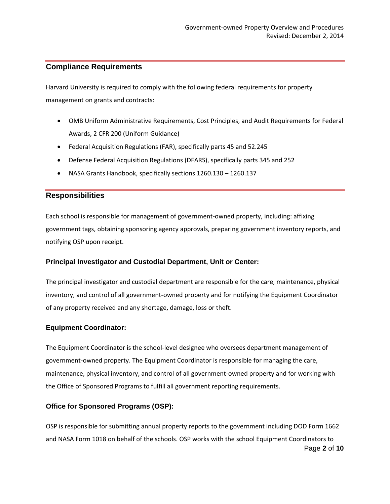### **Compliance Requirements**

Harvard University is required to comply with the following federal requirements for property management on grants and contracts:

- OMB Uniform Administrative Requirements, Cost Principles, and Audit Requirements for Federal Awards, 2 CFR 200 (Uniform Guidance)
- Federal Acquisition Regulations (FAR), specifically parts 45 and 52.245
- Defense Federal Acquisition Regulations (DFARS), specifically parts 345 and 252
- NASA Grants Handbook, specifically sections 1260.130 1260.137

### **Responsibilities**

Each school is responsible for management of government-owned property, including: affixing government tags, obtaining sponsoring agency approvals, preparing government inventory reports, and notifying OSP upon receipt.

### **Principal Investigator and Custodial Department, Unit or Center:**

The principal investigator and custodial department are responsible for the care, maintenance, physical inventory, and control of all government-owned property and for notifying the Equipment Coordinator of any property received and any shortage, damage, loss or theft.

### **Equipment Coordinator:**

The Equipment Coordinator is the school-level designee who oversees department management of government-owned property. The Equipment Coordinator is responsible for managing the care, maintenance, physical inventory, and control of all government-owned property and for working with the Office of Sponsored Programs to fulfill all government reporting requirements.

### **Office for Sponsored Programs (OSP):**

Page **2** of **10** OSP is responsible for submitting annual property reports to the government including DOD Form 1662 and NASA Form 1018 on behalf of the schools. OSP works with the school Equipment Coordinators to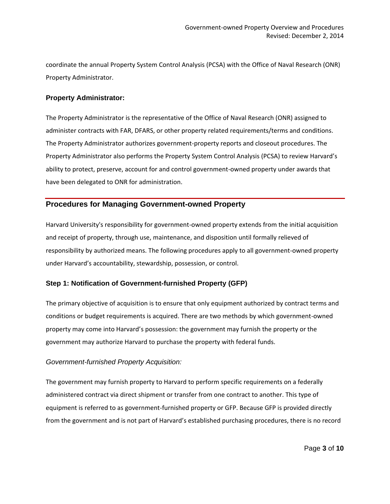coordinate the annual Property System Control Analysis (PCSA) with the Office of Naval Research (ONR) Property Administrator.

### **Property Administrator:**

The Property Administrator is the representative of the Office of Naval Research (ONR) assigned to administer contracts with FAR, DFARS, or other property related requirements/terms and conditions. The Property Administrator authorizes government-property reports and closeout procedures. The Property Administrator also performs the Property System Control Analysis (PCSA) to review Harvard's ability to protect, preserve, account for and control government-owned property under awards that have been delegated to ONR for administration.

### **Procedures for Managing Government-owned Property**

Harvard University's responsibility for government-owned property extends from the initial acquisition and receipt of property, through use, maintenance, and disposition until formally relieved of responsibility by authorized means. The following procedures apply to all government-owned property under Harvard's accountability, stewardship, possession, or control.

### **Step 1: Notification of Government-furnished Property (GFP)**

The primary objective of acquisition is to ensure that only equipment authorized by contract terms and conditions or budget requirements is acquired. There are two methods by which government-owned property may come into Harvard's possession: the government may furnish the property or the government may authorize Harvard to purchase the property with federal funds.

#### *Government-furnished Property Acquisition:*

The government may furnish property to Harvard to perform specific requirements on a federally administered contract via direct shipment or transfer from one contract to another. This type of equipment is referred to as government-furnished property or GFP. Because GFP is provided directly from the government and is not part of Harvard's established purchasing procedures, there is no record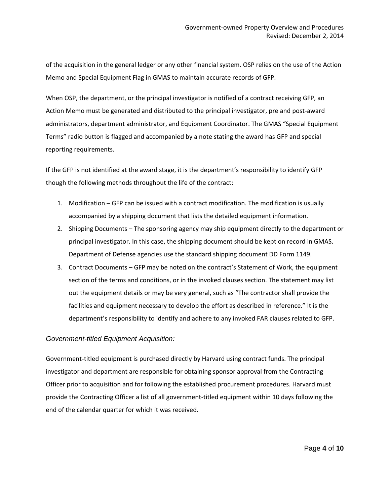of the acquisition in the general ledger or any other financial system. OSP relies on the use of the Action Memo and Special Equipment Flag in GMAS to maintain accurate records of GFP.

When OSP, the department, or the principal investigator is notified of a contract receiving GFP, an Action Memo must be generated and distributed to the principal investigator, pre and post-award administrators, department administrator, and Equipment Coordinator. The GMAS "Special Equipment Terms" radio button is flagged and accompanied by a note stating the award has GFP and special reporting requirements.

If the GFP is not identified at the award stage, it is the department's responsibility to identify GFP though the following methods throughout the life of the contract:

- 1. Modification GFP can be issued with a contract modification. The modification is usually accompanied by a shipping document that lists the detailed equipment information.
- 2. Shipping Documents The sponsoring agency may ship equipment directly to the department or principal investigator. In this case, the shipping document should be kept on record in GMAS. Department of Defense agencies use the standard shipping document DD Form 1149.
- 3. Contract Documents GFP may be noted on the contract's Statement of Work, the equipment section of the terms and conditions, or in the invoked clauses section. The statement may list out the equipment details or may be very general, such as "The contractor shall provide the facilities and equipment necessary to develop the effort as described in reference." It is the department's responsibility to identify and adhere to any invoked FAR clauses related to GFP.

### *Government-titled Equipment Acquisition:*

Government-titled equipment is purchased directly by Harvard using contract funds. The principal investigator and department are responsible for obtaining sponsor approval from the Contracting Officer prior to acquisition and for following the established procurement procedures. Harvard must provide the Contracting Officer a list of all government-titled equipment within 10 days following the end of the calendar quarter for which it was received.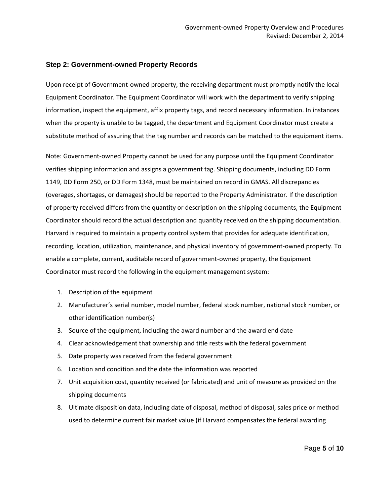#### **Step 2: Government-owned Property Records**

Upon receipt of Government-owned property, the receiving department must promptly notify the local Equipment Coordinator. The Equipment Coordinator will work with the department to verify shipping information, inspect the equipment, affix property tags, and record necessary information. In instances when the property is unable to be tagged, the department and Equipment Coordinator must create a substitute method of assuring that the tag number and records can be matched to the equipment items.

Note: Government-owned Property cannot be used for any purpose until the Equipment Coordinator verifies shipping information and assigns a government tag. Shipping documents, including DD Form 1149, DD Form 250, or DD Form 1348, must be maintained on record in GMAS. All discrepancies (overages, shortages, or damages) should be reported to the Property Administrator. If the description of property received differs from the quantity or description on the shipping documents, the Equipment Coordinator should record the actual description and quantity received on the shipping documentation. Harvard is required to maintain a property control system that provides for adequate identification, recording, location, utilization, maintenance, and physical inventory of government-owned property. To enable a complete, current, auditable record of government-owned property, the Equipment Coordinator must record the following in the equipment management system:

- 1. Description of the equipment
- 2. Manufacturer's serial number, model number, federal stock number, national stock number, or other identification number(s)
- 3. Source of the equipment, including the award number and the award end date
- 4. Clear acknowledgement that ownership and title rests with the federal government
- 5. Date property was received from the federal government
- 6. Location and condition and the date the information was reported
- 7. Unit acquisition cost, quantity received (or fabricated) and unit of measure as provided on the shipping documents
- 8. Ultimate disposition data, including date of disposal, method of disposal, sales price or method used to determine current fair market value (if Harvard compensates the federal awarding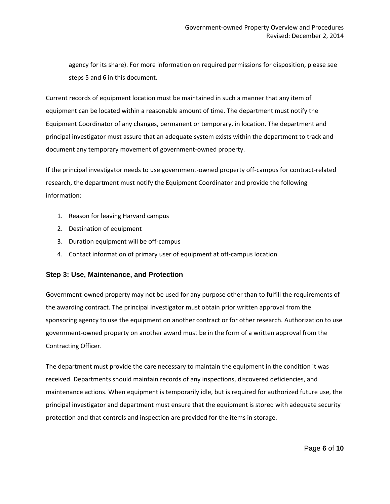agency for its share). For more information on required permissions for disposition, please see steps 5 and 6 in this document.

Current records of equipment location must be maintained in such a manner that any item of equipment can be located within a reasonable amount of time. The department must notify the Equipment Coordinator of any changes, permanent or temporary, in location. The department and principal investigator must assure that an adequate system exists within the department to track and document any temporary movement of government-owned property.

If the principal investigator needs to use government-owned property off-campus for contract-related research, the department must notify the Equipment Coordinator and provide the following information:

- 1. Reason for leaving Harvard campus
- 2. Destination of equipment
- 3. Duration equipment will be off-campus
- 4. Contact information of primary user of equipment at off-campus location

#### **Step 3: Use, Maintenance, and Protection**

Government-owned property may not be used for any purpose other than to fulfill the requirements of the awarding contract. The principal investigator must obtain prior written approval from the sponsoring agency to use the equipment on another contract or for other research. Authorization to use government-owned property on another award must be in the form of a written approval from the Contracting Officer.

The department must provide the care necessary to maintain the equipment in the condition it was received. Departments should maintain records of any inspections, discovered deficiencies, and maintenance actions. When equipment is temporarily idle, but is required for authorized future use, the principal investigator and department must ensure that the equipment is stored with adequate security protection and that controls and inspection are provided for the items in storage.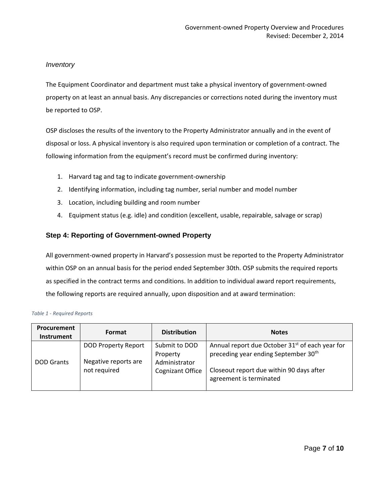### *Inventory*

The Equipment Coordinator and department must take a physical inventory of government-owned property on at least an annual basis. Any discrepancies or corrections noted during the inventory must be reported to OSP.

OSP discloses the results of the inventory to the Property Administrator annually and in the event of disposal or loss. A physical inventory is also required upon termination or completion of a contract. The following information from the equipment's record must be confirmed during inventory:

- 1. Harvard tag and tag to indicate government-ownership
- 2. Identifying information, including tag number, serial number and model number
- 3. Location, including building and room number
- 4. Equipment status (e.g. idle) and condition (excellent, usable, repairable, salvage or scrap)

### **Step 4: Reporting of Government-owned Property**

All government-owned property in Harvard's possession must be reported to the Property Administrator within OSP on an annual basis for the period ended September 30th. OSP submits the required reports as specified in the contract terms and conditions. In addition to individual award report requirements, the following reports are required annually, upon disposition and at award termination:

| <b>Procurement</b><br><b>Instrument</b> | Format                               | <b>Distribution</b>                      | <b>Notes</b>                                                                                                    |
|-----------------------------------------|--------------------------------------|------------------------------------------|-----------------------------------------------------------------------------------------------------------------|
|                                         | <b>DOD Property Report</b>           | Submit to DOD<br>Property                | Annual report due October 31 <sup>st</sup> of each year for<br>preceding year ending September 30 <sup>th</sup> |
| <b>DOD Grants</b>                       | Negative reports are<br>not required | Administrator<br><b>Cognizant Office</b> | Closeout report due within 90 days after<br>agreement is terminated                                             |

#### *Table 1 - Required Reports*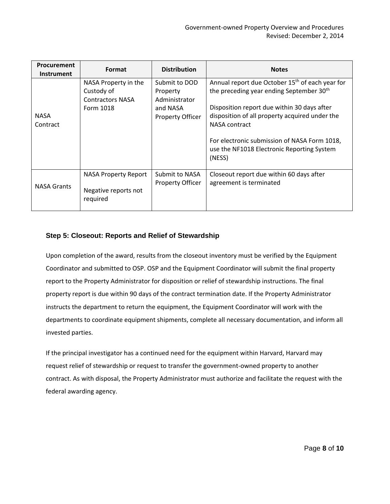| <b>Procurement</b><br><b>Instrument</b> | Format                                                                     | <b>Distribution</b>                                                        | <b>Notes</b>                                                                                                                                                                                                                                                                                                                                         |
|-----------------------------------------|----------------------------------------------------------------------------|----------------------------------------------------------------------------|------------------------------------------------------------------------------------------------------------------------------------------------------------------------------------------------------------------------------------------------------------------------------------------------------------------------------------------------------|
| <b>NASA</b><br>Contract                 | NASA Property in the<br>Custody of<br><b>Contractors NASA</b><br>Form 1018 | Submit to DOD<br>Property<br>Administrator<br>and NASA<br>Property Officer | Annual report due October 15 <sup>th</sup> of each year for<br>the preceding year ending September 30 <sup>th</sup><br>Disposition report due within 30 days after<br>disposition of all property acquired under the<br><b>NASA contract</b><br>For electronic submission of NASA Form 1018,<br>use the NF1018 Electronic Reporting System<br>(NESS) |
| <b>NASA Grants</b>                      | <b>NASA Property Report</b><br>Negative reports not<br>required            | Submit to NASA<br><b>Property Officer</b>                                  | Closeout report due within 60 days after<br>agreement is terminated                                                                                                                                                                                                                                                                                  |

### **Step 5: Closeout: Reports and Relief of Stewardship**

Upon completion of the award, results from the closeout inventory must be verified by the Equipment Coordinator and submitted to OSP. OSP and the Equipment Coordinator will submit the final property report to the Property Administrator for disposition or relief of stewardship instructions. The final property report is due within 90 days of the contract termination date. If the Property Administrator instructs the department to return the equipment, the Equipment Coordinator will work with the departments to coordinate equipment shipments, complete all necessary documentation, and inform all invested parties.

If the principal investigator has a continued need for the equipment within Harvard, Harvard may request relief of stewardship or request to transfer the government-owned property to another contract. As with disposal, the Property Administrator must authorize and facilitate the request with the federal awarding agency.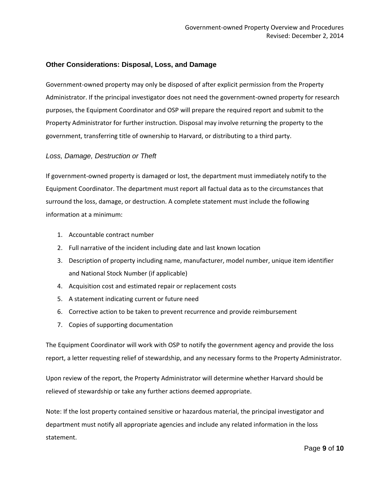### **Other Considerations: Disposal, Loss, and Damage**

Government-owned property may only be disposed of after explicit permission from the Property Administrator. If the principal investigator does not need the government-owned property for research purposes, the Equipment Coordinator and OSP will prepare the required report and submit to the Property Administrator for further instruction. Disposal may involve returning the property to the government, transferring title of ownership to Harvard, or distributing to a third party.

#### *Loss, Damage, Destruction or Theft*

If government-owned property is damaged or lost, the department must immediately notify to the Equipment Coordinator. The department must report all factual data as to the circumstances that surround the loss, damage, or destruction. A complete statement must include the following information at a minimum:

- 1. Accountable contract number
- 2. Full narrative of the incident including date and last known location
- 3. Description of property including name, manufacturer, model number, unique item identifier and National Stock Number (if applicable)
- 4. Acquisition cost and estimated repair or replacement costs
- 5. A statement indicating current or future need
- 6. Corrective action to be taken to prevent recurrence and provide reimbursement
- 7. Copies of supporting documentation

The Equipment Coordinator will work with OSP to notify the government agency and provide the loss report, a letter requesting relief of stewardship, and any necessary forms to the Property Administrator.

Upon review of the report, the Property Administrator will determine whether Harvard should be relieved of stewardship or take any further actions deemed appropriate.

Note: If the lost property contained sensitive or hazardous material, the principal investigator and department must notify all appropriate agencies and include any related information in the loss statement.